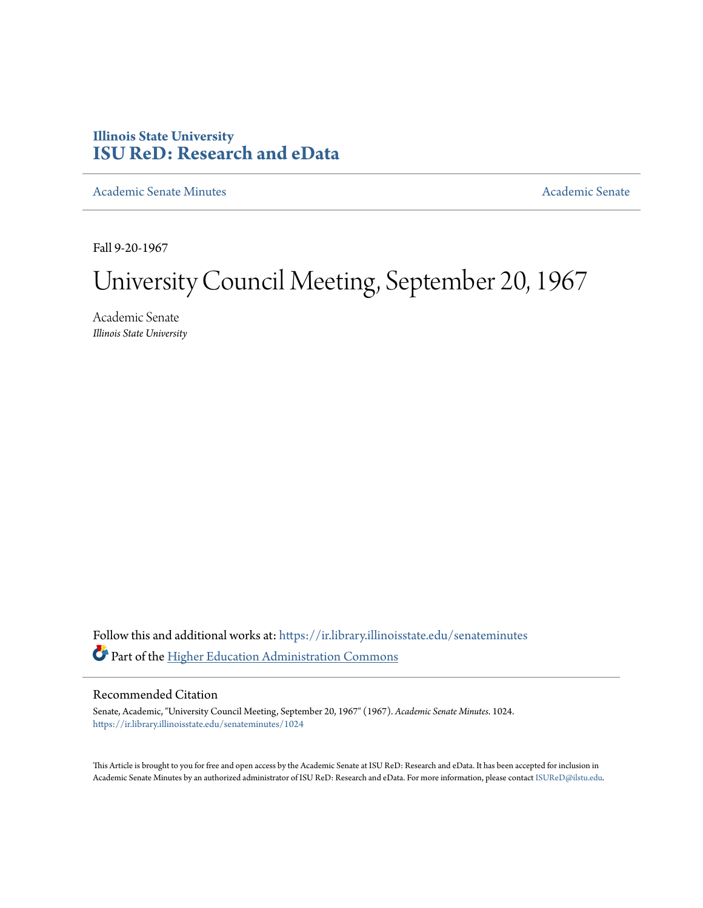# **Illinois State University [ISU ReD: Research and eData](https://ir.library.illinoisstate.edu?utm_source=ir.library.illinoisstate.edu%2Fsenateminutes%2F1024&utm_medium=PDF&utm_campaign=PDFCoverPages)**

[Academic Senate Minutes](https://ir.library.illinoisstate.edu/senateminutes?utm_source=ir.library.illinoisstate.edu%2Fsenateminutes%2F1024&utm_medium=PDF&utm_campaign=PDFCoverPages) [Academic Senate](https://ir.library.illinoisstate.edu/senate?utm_source=ir.library.illinoisstate.edu%2Fsenateminutes%2F1024&utm_medium=PDF&utm_campaign=PDFCoverPages) Academic Senate

Fall 9-20-1967

# University Council Meeting, September 20, 1967

Academic Senate *Illinois State University*

Follow this and additional works at: [https://ir.library.illinoisstate.edu/senateminutes](https://ir.library.illinoisstate.edu/senateminutes?utm_source=ir.library.illinoisstate.edu%2Fsenateminutes%2F1024&utm_medium=PDF&utm_campaign=PDFCoverPages) Part of the [Higher Education Administration Commons](http://network.bepress.com/hgg/discipline/791?utm_source=ir.library.illinoisstate.edu%2Fsenateminutes%2F1024&utm_medium=PDF&utm_campaign=PDFCoverPages)

# Recommended Citation

Senate, Academic, "University Council Meeting, September 20, 1967" (1967). *Academic Senate Minutes*. 1024. [https://ir.library.illinoisstate.edu/senateminutes/1024](https://ir.library.illinoisstate.edu/senateminutes/1024?utm_source=ir.library.illinoisstate.edu%2Fsenateminutes%2F1024&utm_medium=PDF&utm_campaign=PDFCoverPages)

This Article is brought to you for free and open access by the Academic Senate at ISU ReD: Research and eData. It has been accepted for inclusion in Academic Senate Minutes by an authorized administrator of ISU ReD: Research and eData. For more information, please contact [ISUReD@ilstu.edu.](mailto:ISUReD@ilstu.edu)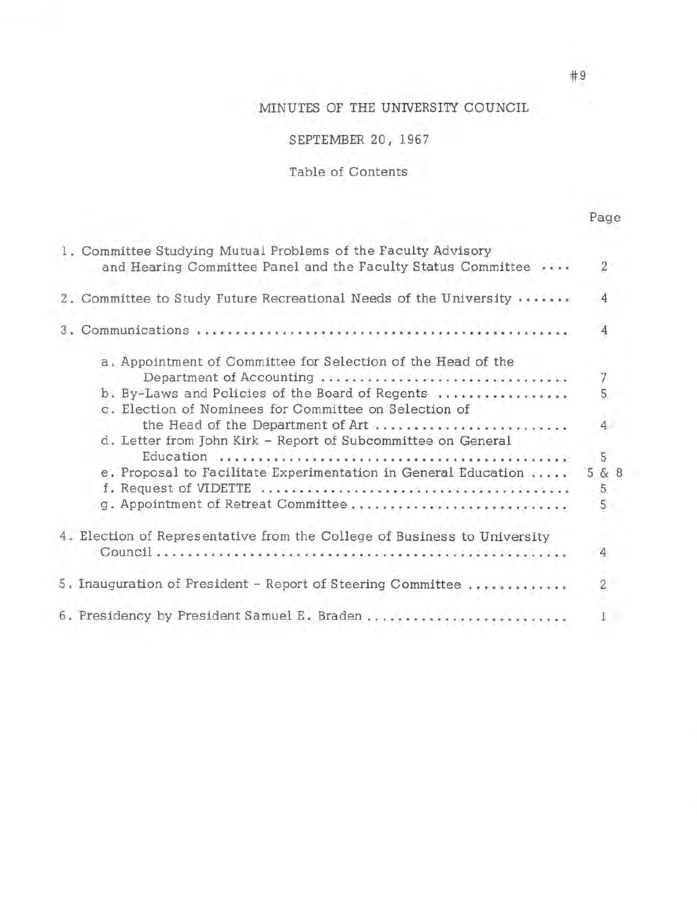# MINUTES OF THE UNIVERSITY COUNCIL

# SEPTEMBER 20, 1967

# Table of Contents

| 1. Committee Studying Mutual Problems of the Faculty Advisory<br>and Hearing Committee Panel and the Faculty Status Committee                                                                                                                                                                             | $\overline{2}$              |
|-----------------------------------------------------------------------------------------------------------------------------------------------------------------------------------------------------------------------------------------------------------------------------------------------------------|-----------------------------|
| 2. Committee to Study Future Recreational Needs of the University                                                                                                                                                                                                                                         | 4                           |
|                                                                                                                                                                                                                                                                                                           | $\overline{4}$              |
| a, Appointment of Committee for Selection of the Head of the<br>Department of Accounting<br>b. By-Laws and Policies of the Board of Regents<br>c. Election of Nominees for Committee on Selection of<br>the Head of the Department of Art<br>d. Letter from John Kirk - Report of Subcommittee on General | 7<br>5<br>$\overline{4}$    |
| e. Proposal to Facilitate Experimentation in General Education<br>g. Appointment of Retreat Committee                                                                                                                                                                                                     | 5<br>5 & 8<br>$\frac{5}{5}$ |
| 4. Election of Representative from the College of Business to University                                                                                                                                                                                                                                  | $\overline{4}$              |
| 5. Inauguration of President - Report of Steering Committee                                                                                                                                                                                                                                               | $\overline{c}$              |
| 6. Presidency by President Samuel E. Braden                                                                                                                                                                                                                                                               | 1                           |

#9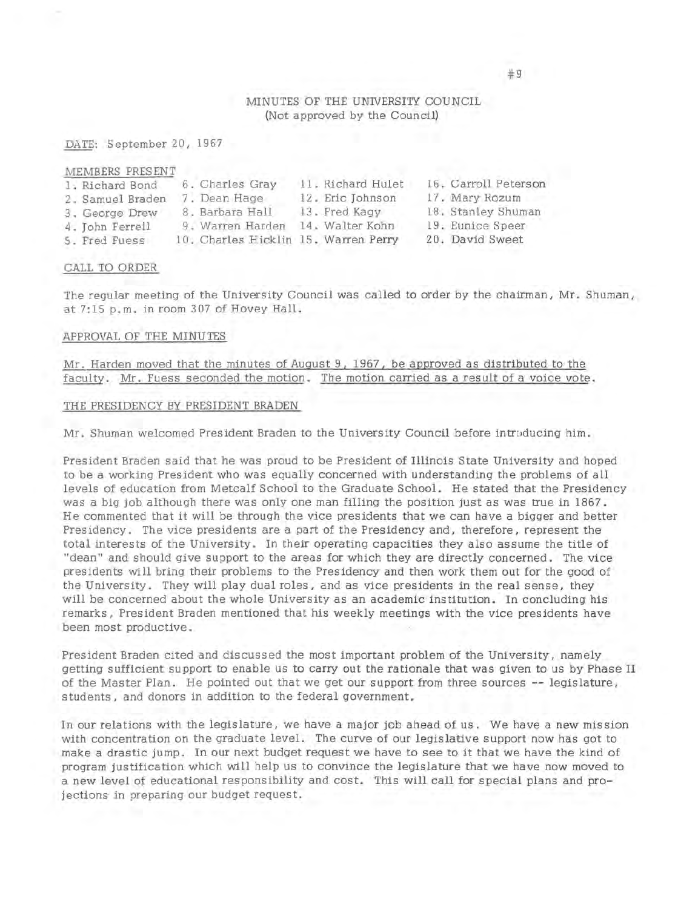# MINUTES OF THE UNIVERSITY COUNCIL (Not approved by the Council)

DATE: September 20, 1967

| MEMBERS PRESENT  |                                      |                   |                      |
|------------------|--------------------------------------|-------------------|----------------------|
| 1. Richard Bond  | 6. Charles Gray                      | 11. Richard Hulet | 16. Carroll Peterson |
| 2. Samuel Braden | 7. Dean Hage                         | 12. Eric Johnson  | 17. Mary Rozum       |
| 3. George Drew   | 8. Barbara Hall                      | 13. Fred Kagy     | 18. Stanley Shuman   |
| 4. John Ferrell  | 9. Warren Harden                     | 14. Walter Kohn   | 19. Eunice Speer     |
| 5. Fred Fuess    | 10. Charles Hicklin 15. Warren Perry |                   | 20. David Sweet      |

#### CALL TO ORDER

The regular meeting of the University Council was called to order by the chairman, Mr. Shuman, at 7:15 p.m. in room 307 of Hovey Hall.

#### APPROVAL OF THE MINUTES

Mr. Harden moved that the minutes of August 9, 1967, be approved as distributed to the faculty. Mr. Fuess seconded the motion. The motion carried as a result of a voice vote.

#### THE PRESIDENCY BY PRESIDENT BRADEN

**Mr.** Shuman welcomed President Braden to the University Council before intrciducing him.

President Braden said that he was proud to be President of Illinois State University and hoped to be a working President who was equally concerned with understanding the problems of all levels of education from Metcalf School to the Graduate School. He stated that the Presidency was a big job although there was only one man filling the position just as was true in 1867. He commented that it will be through the vice presidents that we can have a bigger and better Presidency. The vice presidents are a part of the Presidency and, therefore, represent the total interests of the University. In their operating capacities they also assume the title of "dean" and should give support to the areas for which they are directly concerned. The vice presidents will bring their problems to the Presidency and then work them out for the good of the University. They will play dual roles, and as vice presidents in the real sense, they will be concerned about the whole University as an academic institution. In concluding his remarks, President Braden mentioned that his weekly meetings with the vice presidents have been most productive.

President Braden cited and discussed the most important problem of the University, namely getting sufficient support to enable us to carry out the rationale that was given to us by Phase II of the Master Plan. He pointed out that we get our support from three sources -- legislature, students , and donors in addition to the federal government.

In our relations with the legislature, we have a major job ahead of us. We have a new mission with concentration on the graduate level. The curve of our legislative support now has got to make a drastic jump. In our next budget request we have to see to it that we have the kind of program justification which will help us to convince the legislature that we have now moved to a new level of educational responsibility and cost. This will call for special plans and projections in preparing our budget request.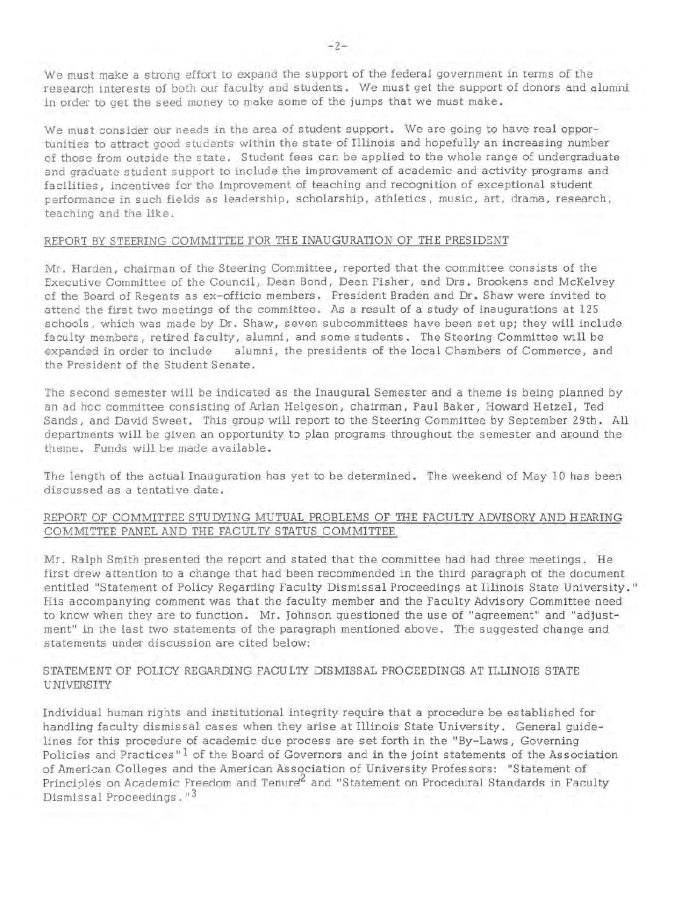We must make a strong effort to expand the support of the federal government in terms of the research interests of both our faculty and students. We must get the support of donors and alumni in order to get the seed money to make some of the jumps that we must make.

We must consider our needs in the area of student support. We are going to have real opportunities to attract good students within the state of Illinois and hopefully an increasing number of those from outside the state. Student fees can be applied to the whole range of undergraduate and graduate student support to include the improvement of academic and activity programs and facilities, incentives for the improvement of teaching and recognition of exceptional student performance in such fields as leadership, scholarship, athletics, music, art, drama, research, teaching and the like.

# REPORT BY STEERING COMMITTEE FOR THE INAUGURATION OF THE PRESIDENT

Mr. Harden, chairman of the Steering Committee, reported that the committee consists of the Executive Committee of the Council, Dean Bond, Dean Fisher, and Drs. Brookens and McKelvey of the Board of Regents as ex-officio members. President Braden and Dr. Shaw were invited to attend the first two meetings of the committee. As a result of a study of inaugurations at 125 schools, which was made by Dr. Shaw, seven subcommittees have been set up; they will include faculty members, retired faculty, alumni, and some students. The Steering Committee will be expanded in order to include alumni, the presidents of the local Chambers of Commerce, and the President of the Student Senate.

The second semester will be indicated as the Inaugural Semester and a theme is being planned by an ad hoc committee consisting of Arlan Helgeson, chairman, Paul Baker, Howard Hetzel, Ted Sands, and David Sweet. This group will report to the Steering Committee by September 29th. All departments will be given an opportunity to plan programs throughout the semester and around the theme. Funds will be made available.

The length of the actual Inauguration has yet to be determined. The weekend of May 10 has been discussed as a tentative date.

# REPORT OF COMMITTEE STUDYING MUTUAL PROBLEMS OF THE FACULTY ADVISORY AND HEARING COMMITTEE PANEL AND THE FACULTY STATUS COMMITTEE

Mr. Ralph Smith presented the report and stated that the committee had had three meetings. He first drew attention to a change that had been recommended in the third paragraph of the document .entitled "Statement of Policy Regarding Faculty Dismissal Proceedings at Illinois State University." His accompanying comment was that the faculty member and the Faculty Advisory Committee need to know when they are to function. Mr. Johnson questioned the use of "agreement" and "adjustment" in the last two statements of the paragraph mentioned above. The suggested change and statements under discussion are cited below:

# STATEMENT OF POLICY REGARDING FACULTY DISMISSAL PROCEEDINGS AT ILLINOIS STATE UNIVERSITY

Individual human rights and institutional integrity require that a procedure be established for handling faculty dismissal cases when they arise at Illinois State University. General guidelines for this procedure of academic due process are set forth in the "By-Laws, Governing Policies and Practices"<sup>1</sup> of the Board of Governors and in the joint statements of the Association of American Colleges and the American Association of University Professors: "Statement of Principles on Academic Freedom and Tenure<sup>2</sup> and "Statement on Procedural Standards in Faculty Dismissal Proceedings.  $13$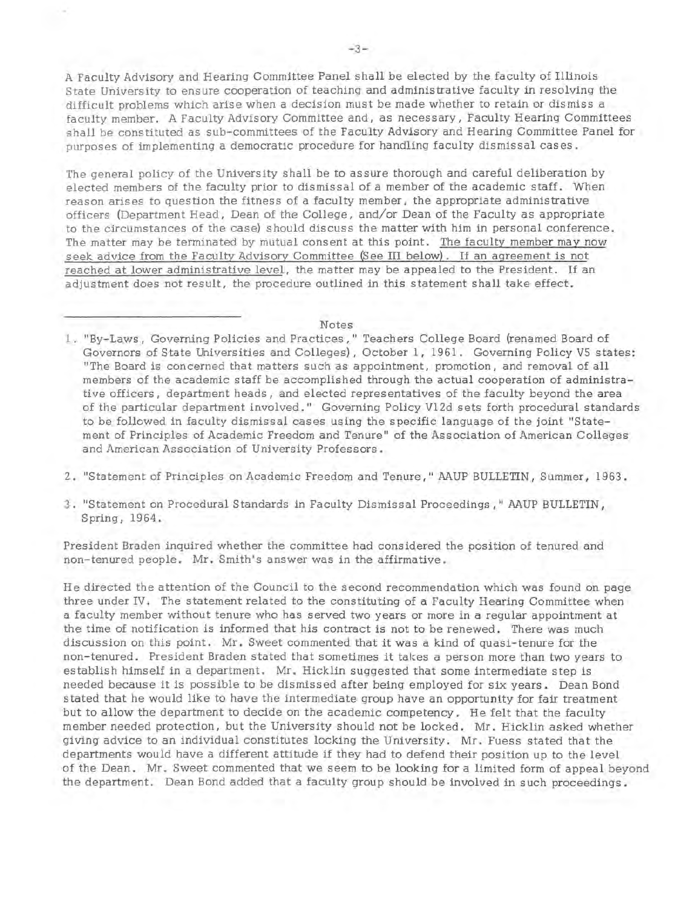A Faculty Advisory and Hearing Committee Panel shall be elected by the faculty of Illinois State University to ensure cooperation of teaching and administrative faculty in resolving the difficult problems which arise when a decision must be made whether to retain or dismiss a faculty member, A Faculty Advisory Committee and, as necessary, Faculty Hearing Committees shall be constituted as sub-committees of the Faculty Advisory and Hearing Committee Panel for purposes of implementing a democratic procedure for handling faculty dismissal cases.

The general policy of the University shall be to assure thorough and careful deliberation by elected members of the faculty prior to dismissal of a member of the academic staff. When reason arises to question the fitness of a faculty member, the appropriate administrative officers (Department Head, Dean of the College, and/or Dean of the Faculty as appropriate to the circumstances of the case) should discuss the matter with him in personal conference. The matter may be terminated by mutual consent at this point. The faculty member may now seek advice from the Faculty Advisory Committee (See III below). If an agreement is not reached at lower administrative level, the matter may be appealed to the President. If an adjustment does not result, the procedure outlined in this statement shall take effect.

#### Notes

- 1. "By-Laws, Governing Policies and Practices," Teachers College Board (renamed Board of Governors of State Universities and Colleges), October l, 1961. Governing Policy VS states: "The Board is concerned that matters such as appointment, promotion, and removal of all members of the academic staff be accomplished through the actual cooperation of administrative officers, department heads, and elected representatives of the faculty beyond the area of the particular department involved." Governing Policy Vl2d sets forth procedural standards to be followed in faculty dismissal cases using the specific language of the joint "Statement of Principles of Academic Freedom and Tenure" of the Association of American Colleges and American Association of University Professors.
- 2. "Statement of Principles on Academic Freedom and Tenure," MUP BULLETIN, Summer, 1963.
- 3. "Statement on Procedural Standards in Faculty Dismissal Proceedings," MUP BULLETIN, Spring, 1964.

President Braden inquired whether the committee had considered the position of tenured and non-tenured people. Mr. Smith's answer was in the affirmative.

He directed the attention of the Council to the second recommendation which was found on page three under IV. The statement related to the constituting of a Faculty Hearing Committee when a faculty member without tenure who has served two years or more in a regular appointment at the time of notification is informed that his contract is not to be renewed. There was much discussion on this point. Mr. Sweet commented that it was a kind of quasi-tenure for the non-tenured. President Braden stated that sometimes it takes a person more than two years to establish himself in a department. Mr. Hicklin suggested that some intermediate step is needed because it is possible to be dismissed after being employed for six years. Dean Bond stated that he would like to have the intermediate group have an opportunity for fair treatment but to allow the department to decide on the academic competency. He felt that the faculty member needed protection, but the University should not be locked. Mr. Hicklin asked whether giving advice to an individual constitutes locking the University. Mr. Fuess stated that the departments would have a different attitude if they had to defend their position up to the level of the Dean. Mr. Sweet commented that we seem to be looking for a limited form of appeal beyond the department. Dean Bond added that a faculty group should be involved in such proceedings.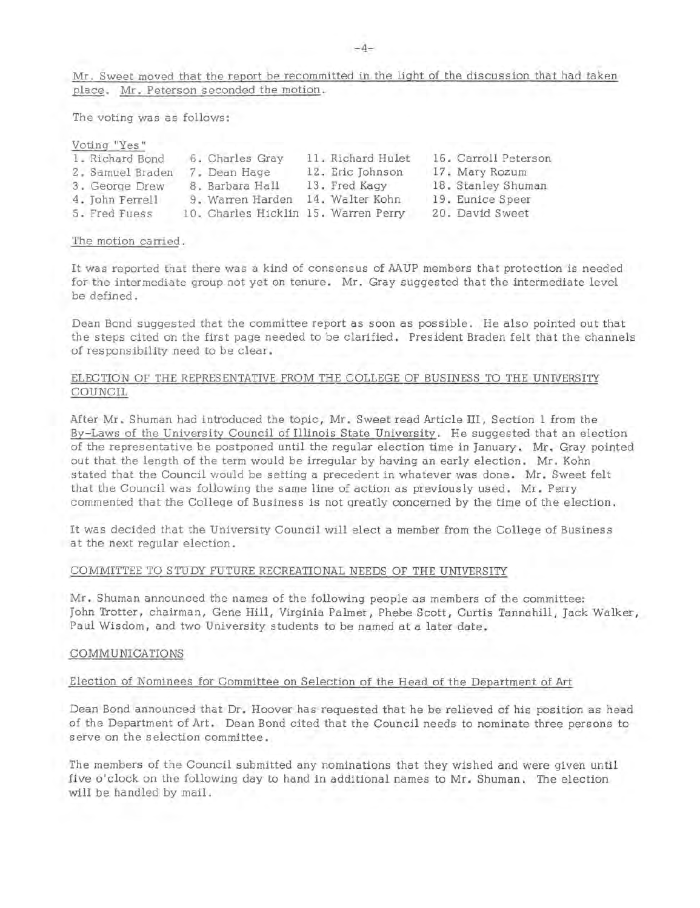Mr. Sweet moved that the report be recommitted in the light of the discussion that had taken place. Mr. Peterson seconded the motion.

The voting was as follows:

| Voting "Yes"     |                                      |                   |                      |
|------------------|--------------------------------------|-------------------|----------------------|
| 1. Richard Bond  | 6. Charles Gray                      | 11. Richard Hulet | 16. Carroll Peterson |
| 2. Samuel Braden | 7. Dean Hage                         | 12. Eric Johnson  | 17. Mary Rozum       |
| 3. George Drew   | 8. Barbara Hall                      | 13. Fred Kaqy     | 18. Stanley Shuman   |
| 4. John Ferrell  | 9. Warren Harden                     | 14. Walter Kohn   | 19. Eunice Speer     |
| 5. Fred Fuess    | 10. Charles Hicklin 15. Warren Perry |                   | 20. David Sweet      |

#### The motion carried.

It was reported that there was a kind of consensus of MUP members that protection is needed for the intermediate group not yet on tenure. Mr. Gray suggested that the intermediate level be defined.

Dean Bond suggested that the committee report as soon as possible. He also pointed out that the steps cited on the first page needed to be clarified. President Braden felt that the channels of responsibility need to be clear.

# ELECTION OF THE REPRESENTATIVE FROM THE COLLEGE OF BUSINESS TO THE UNIVERSITY COUNCIL

After Mr. Shuman had introduced the topic, Mr. Sweet read Article III, Section 1 from the By-Laws of the University Council of Illinois State University. He suggested that an election of the representative be postponed until the regular election time in January. Mr. Gray pointed out that the length of the term would be irregular by having an early election. Mr. Kohn stated that the Council would be setting a precedent in whatever was done. Mr. Sweet felt that the Council was following the same line of action as previously used. Mr. Perry commented that the College of Business is not greatly concerned by the time of the election .

It was decided that the University Council will elect a member from the College of Business at the next regular election.

#### COMMITTEE TO STUDY FUTURE RECREATIONAL NEEDS OF THE UNIVERSITY

Mr. Shuman announced the names of the following people as members of the committee: John Trotter, chairman, Gene Hill, Virginia Palmer, Phebe Scott, Curtis Tannahill, Jack Walker, Paul Wisdom, and two University students to be named at a later date.

#### COMMUNICATIONS

#### Election of Nominees for Committee on Selection of the Head of the Department of Art

Dean Bond announced that Dr. Hoover has requested that he be relieved of his position as head of the Department of Art. Dean Bond cited that the Council needs to nominate three persons to serve on the selection committee.

The members of the Council submitted any nominations that they wished and were given until five o'clock on the following day to hand in additional names to Mr. Shuman. The election will be handled by mail.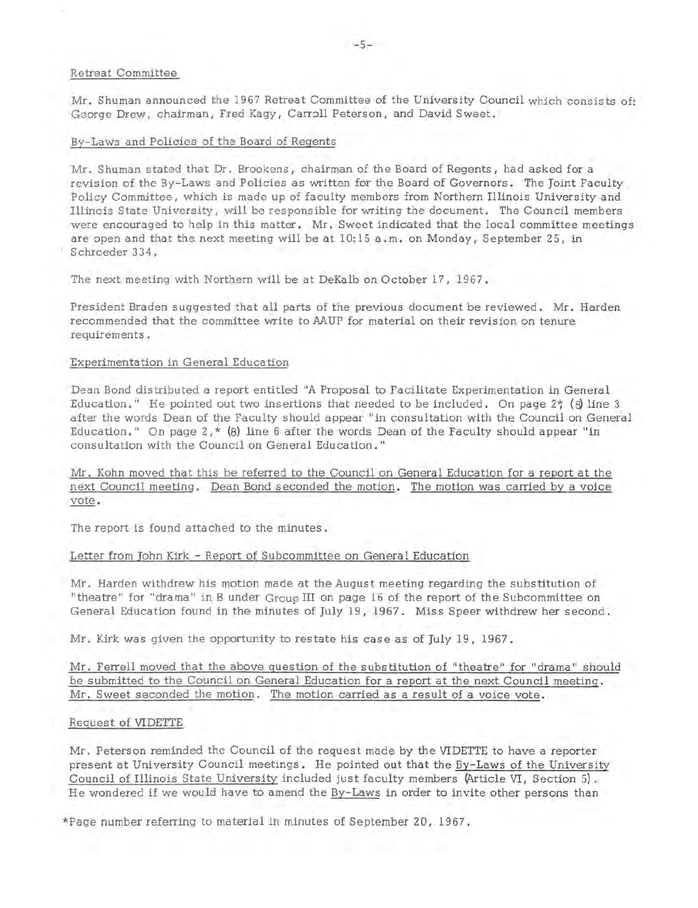## Retreat Committee

Mr. Shuman announced the 1967 Retreat Committee of the University Council which consists of: George Drew, chairman, Fred Kagy, Carroll Peterson, and David Sweet.

#### By-Laws and Policies of the Board of Regents

Mr. Shuman stated that Dr. Brookens, chairman of the Board of Regents, had asked for a revision of the By-Laws and Policies as written for the Board of Governors. The Joint Faculty Policy Committee, which is made up of faculty members from Northern Illinois University and Illinois State University , will be responsible for writing the document. The Council members were encouraged to help in this matter. Mr. Sweet indicated that the local committee meetings are open and that the next meeting will be at 10:15 a.m. on Monday, September 25, in Schroeder 334.

The next meeting with Northern wiU be at DeKalb on October 17, 1967.

President Braden suggested that all parts of the previous document be reviewed. Mr. Harden recommended that the committee write to AAUP for material on their revision on tenure requirements.

#### Experimentation in General Education

Dean Bond distributed a report entitled "A Proposal to Facilitate Experimentation in General Education." He pointed out two insertions that needed to be included. On page  $2\frac{4}{3}$  (8) line 3 after the words Dean of the Faculty should appear "in consultation with the Council on General Education." On page  $2, *$  (8) line 6 after the words Dean of the Faculty should appear "in consultation with the Council on General Education."

Mr. Kohn moved that this be referred to the Council on General Education for a report at the next Council meeting. Dean Bond seconded the motion. The motion was carried by a voice vote.

The report is found attached to the minutes.

#### Letter from John Kirk - Report of Subcommittee on General Education

Mr. Harden withdrew his motion made at the August meeting regarding the substitution of "theatre" for "drama" in B under Group III on page 16 of the report of the Subcommittee on General Education found in the minutes of July 19, 1967. Miss Speer withdrew her second.

Mr. Kirk was given the opportunity to restate his case as of July 19, 1967.

Mr. Ferrell moved that the above question of the substitution of "theatre" for "drama" should be submitted to the Council on General Education for a report at the next Council meeting. Mr. Sweet seconded the motion. The motion carried as a result of a voice vote.

#### Request of VIDETTE

Mr. Peterson reminded the Council of the request made by the VIDETTE to have a reporter present at University Council meetings. He pointed out that the By-Laws of the University Council of Illinois State University included just faculty members (Article VI, Section 5). He wondered if we would have to amend the By-Laws in order to invite other persons than

\*Page number referring to material in minutes of September 20, 1967.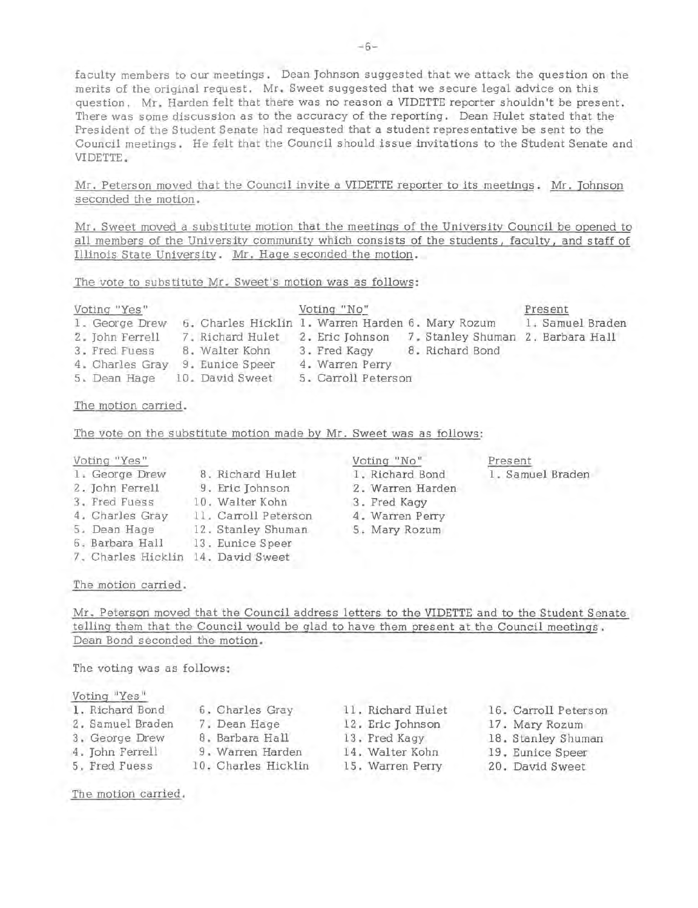faculty members to our meetings. Dean Johnson suggested that we attack the question on the merits of the original request. Mr. Sweet suggested that we secure legal advice on this question. Mr. Harden felt that there was no reason a VIDETTE reporter shouldn't be present. There was some discussion as to the accuracy of the reporting. Dean Hulet stated that the . President of the Student Senate had requested that a student representative be sent to the Council meetings. He felt that the Council should issue invitations to the Student Senate and VIDETTE.

Mr. Peterson moved that the Council invite a VIDETTE reporter to its meetings. Mr. Johnson seconded the motion.

Mr. Sweet moved a substitute motion that the meetings of the University Council be opened to all members of the University community which consists of the students, faculty, and staff of Illinois State University. Mr. Hage seconded the motion.

The vote to substitute Mr. Sweet's motion was as follows:

| Voting "Yes"    |                                                   | Voting "No"         |                 | Present                           |
|-----------------|---------------------------------------------------|---------------------|-----------------|-----------------------------------|
| 1. George Drew  | 6. Charles Hicklin 1. Warren Harden 6. Mary Rozum |                     |                 | 1. Samuel Braden                  |
| 2. John Ferrell | 7. Richard Hulet                                  | 2. Eric Johnson     |                 | 7. Stanley Shuman 2. Barbara Hall |
| 3. Fred Fuess   | 8. Walter Kohn                                    | 3. Fred Kaqy        | 8. Richard Bond |                                   |
| 4. Charles Gray | 9. Eunice Speer                                   | 4. Warren Perry     |                 |                                   |
| 5. Dean Hage    | 10. David Sweet                                   | 5. Carroll Peterson |                 |                                   |

## The motion carried.

The vote on the substitute motion made by Mr. Sweet was as follows:

| Voting "Yes" |  |
|--------------|--|
|              |  |

- 1. George Drew 2. John Ferrell 3. Fred Fuess 4. Charles Gray 5. Dean Hage 6. Barbara Hall 13. 7. Charles Hicklin 14. David Sweet 8. Richard Hulet 9. Eric Johnson Walter Kohn 11. Carroll Peterson 12. Stanley Shuman 13. Eunice Speer
- Voting "No" 1 . Richard Bond 2. Warren Harden 3. Fred Kagy 4. Warren Perry 5 . Mary Rozum

Present

1. Samuel Braden

The motion carried.

Mr. Peterson moved that the Council address letters to the VIDETTE and to the Student Senate telling them that the Council would be glad to have them present at the Council meetings. Dean Bond seconded the motion.

The voting was as follows:

Voting "Yes"

| 1. Richard Bond  | 6. Charles Gray     | 11. Richard Hulet | 16. Carroll Peterson |
|------------------|---------------------|-------------------|----------------------|
| 2. Samuel Braden | 7. Dean Hage        | 12. Eric Johnson  | 17. Mary Rozum       |
| 3. George Drew   | 8. Barbara Hall     | 13. Fred Kagy     | 18. Stanley Shuman   |
| 4. John Ferrell  | 9. Warren Harden    | 14. Walter Kohn   | 19. Eunice Speer     |
| 5. Fred Fuess    | 10. Charles Hicklin | 15. Warren Perry  | 20. David Sweet      |

The motion carried.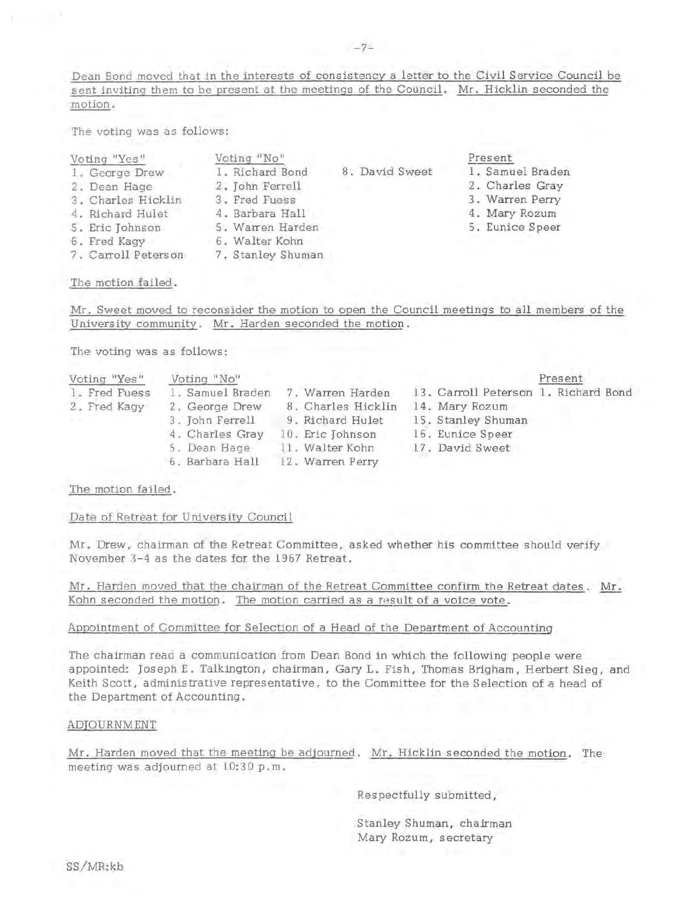Dean Bond moved that in the interests of consistency a letter to the Civil Service Council be sent inviting them to be present at the meetings of the Council. Mr. Hicklin seconded the motion.

The voting was as follows:

| Voting "Yes" |  |
|--------------|--|

- 1 . George Drew 2. Dean Hage
- 
- 3. Charles Hicklin
- 4. Richard Hulet
- 5. Eric Johnson
- 6. Fred Kagy
- 7. Carroll Peterson
- 4. Barbara Hall
- 
- 
- 

## The motion failed.

Mr. Sweet moved to reconsider the motion to open the Council meetings to all members of the University community. **Mr.** Harden seconded the motion.

The voting was as follows:

| Voting "Yes"  | Voting "No"      |                    |                                      | Present |
|---------------|------------------|--------------------|--------------------------------------|---------|
| 1. Fred Fuess | 1. Samuel Braden | 7. Warren Harden   | 13. Carroll Peterson 1. Richard Bond |         |
| 2. Fred Kagy  | 2. George Drew   | 8. Charles Hicklin | 14. Mary Rozum                       |         |
|               | 3. John Ferrell  | 9. Richard Hulet   | 15. Stanley Shuman                   |         |
|               | 4. Charles Gray  | 10. Eric Johnson   | 16. Eunice Speer                     |         |
|               | 5. Dean Hage     | 11. Walter Kohn    | 17. David Sweet                      |         |
|               | 6. Barbara Hall  | 12. Warren Perry   |                                      |         |

# The motion failed.

Date of Retreat for University Council

Mr. Drew, chairman of the Retreat Committee, asked whether his committee should verify November 3-4 as the dates for the 1967 Retreat.

Mr. Harden moved that the chairman of the Retreat Committee confirm the Retreat dates. Mr. Kohn seconded the motion. The motion carried as a result of a voice vote.

# Appointment of Committee for Selection of a Head of the Department of Accounting

The chairman read a communication from Dean Bond in which the following people were appointed: Joseph E. Talkington, chairman, Gary L. Fish, Thomas Brigham, Herbert Sieg, and Keith Scott, administrative representative, to the Committee for the Selection of a head of the Department of Accounting.

# ADJOURNMENT

Mr. Harden moved that the meeting be adjourned. Mr. Hicklin seconded the motion. The meeting was adjourned at 10:30 p.m.

Respectfully submitted,

Stanley Shuman, chairman Mary Rozum, secretary

- Voting "No" 1 . Richard Bond 2. John Ferrell 3. Fred Fuess
- 5. Warren Harden
	- 6. Walter Kohn
		- 7. Stanley Shuman
- 8. David Sweet

Present

1 . Samuel Braden 2 . Charles Gray 3. Warren Perry 4. Mary Rozum 5. Eunice Speer